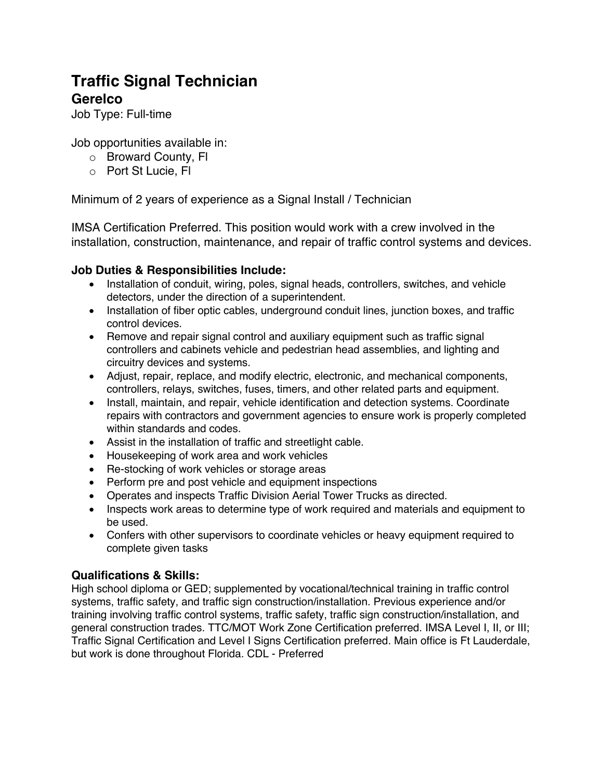# **Traffic Signal Technician**

## **Gerelco**

Job Type: Full-time

Job opportunities available in:

- o Broward County, Fl
- o Port St Lucie, Fl

Minimum of 2 years of experience as a Signal Install / Technician

IMSA Certification Preferred. This position would work with a crew involved in the installation, construction, maintenance, and repair of traffic control systems and devices.

### **Job Duties & Responsibilities Include:**

- Installation of conduit, wiring, poles, signal heads, controllers, switches, and vehicle detectors, under the direction of a superintendent.
- Installation of fiber optic cables, underground conduit lines, junction boxes, and traffic control devices.
- Remove and repair signal control and auxiliary equipment such as traffic signal controllers and cabinets vehicle and pedestrian head assemblies, and lighting and circuitry devices and systems.
- Adjust, repair, replace, and modify electric, electronic, and mechanical components, controllers, relays, switches, fuses, timers, and other related parts and equipment.
- Install, maintain, and repair, vehicle identification and detection systems. Coordinate repairs with contractors and government agencies to ensure work is properly completed within standards and codes.
- Assist in the installation of traffic and streetlight cable.
- Housekeeping of work area and work vehicles
- Re-stocking of work vehicles or storage areas
- Perform pre and post vehicle and equipment inspections
- Operates and inspects Traffic Division Aerial Tower Trucks as directed.
- Inspects work areas to determine type of work required and materials and equipment to be used.
- Confers with other supervisors to coordinate vehicles or heavy equipment required to complete given tasks

## **Qualifications & Skills:**

High school diploma or GED; supplemented by vocational/technical training in traffic control systems, traffic safety, and traffic sign construction/installation. Previous experience and/or training involving traffic control systems, traffic safety, traffic sign construction/installation, and general construction trades. TTC/MOT Work Zone Certification preferred. IMSA Level I, II, or III; Traffic Signal Certification and Level I Signs Certification preferred. Main office is Ft Lauderdale, but work is done throughout Florida. CDL - Preferred